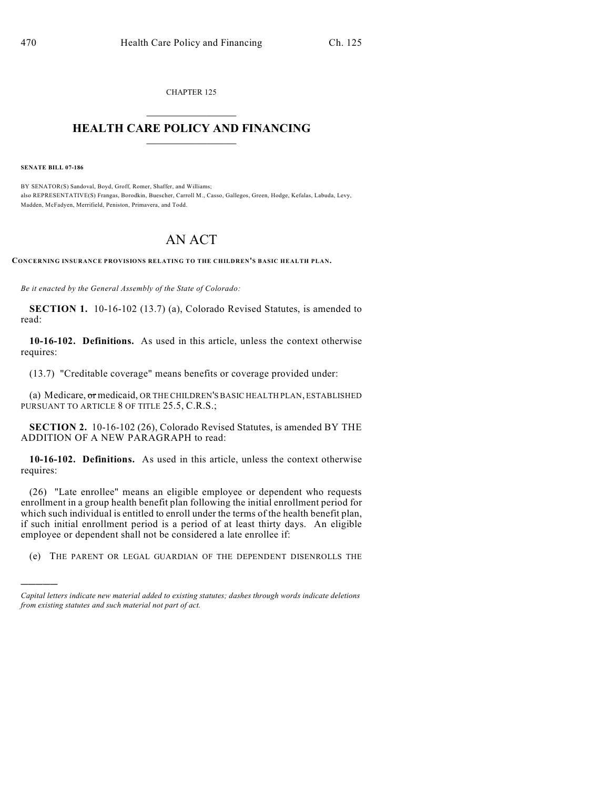CHAPTER 125  $\mathcal{L}_\text{max}$  . The set of the set of the set of the set of the set of the set of the set of the set of the set of the set of the set of the set of the set of the set of the set of the set of the set of the set of the set

## **HEALTH CARE POLICY AND FINANCING**  $\_$   $\_$   $\_$   $\_$   $\_$   $\_$   $\_$   $\_$

**SENATE BILL 07-186**

)))))

BY SENATOR(S) Sandoval, Boyd, Groff, Romer, Shaffer, and Williams; also REPRESENTATIVE(S) Frangas, Borodkin, Buescher, Carroll M., Casso, Gallegos, Green, Hodge, Kefalas, Labuda, Levy, Madden, McFadyen, Merrifield, Peniston, Primavera, and Todd.

## AN ACT

**CONCERNING INSURANCE PROVISIONS RELATING TO THE CHILDREN'S BASIC HEALTH PLAN.**

*Be it enacted by the General Assembly of the State of Colorado:*

**SECTION 1.** 10-16-102 (13.7) (a), Colorado Revised Statutes, is amended to read:

**10-16-102. Definitions.** As used in this article, unless the context otherwise requires:

(13.7) "Creditable coverage" means benefits or coverage provided under:

(a) Medicare, or medicaid, OR THE CHILDREN'S BASIC HEALTH PLAN, ESTABLISHED PURSUANT TO ARTICLE 8 OF TITLE 25.5, C.R.S.;

**SECTION 2.** 10-16-102 (26), Colorado Revised Statutes, is amended BY THE ADDITION OF A NEW PARAGRAPH to read:

**10-16-102. Definitions.** As used in this article, unless the context otherwise requires:

(26) "Late enrollee" means an eligible employee or dependent who requests enrollment in a group health benefit plan following the initial enrollment period for which such individual is entitled to enroll under the terms of the health benefit plan, if such initial enrollment period is a period of at least thirty days. An eligible employee or dependent shall not be considered a late enrollee if:

(e) THE PARENT OR LEGAL GUARDIAN OF THE DEPENDENT DISENROLLS THE

*Capital letters indicate new material added to existing statutes; dashes through words indicate deletions from existing statutes and such material not part of act.*